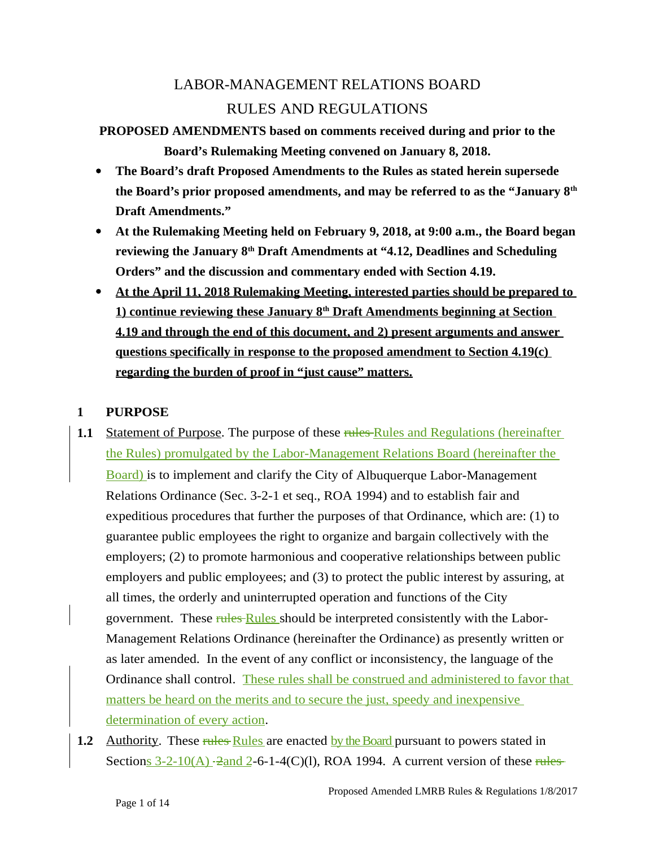# LABOR-MANAGEMENT RELATIONS BOARD RULES AND REGULATIONS

## **PROPOSED AMENDMENTS based on comments received during and prior to the Board's Rulemaking Meeting convened on January 8, 2018.**

- **The Board's draft Proposed Amendments to the Rules as stated herein supersede the Board's prior proposed amendments, and may be referred to as the "January 8th Draft Amendments."**
- **At the Rulemaking Meeting held on February 9, 2018, at 9:00 a.m., the Board began reviewing the January 8th Draft Amendments at "4.12, Deadlines and Scheduling Orders" and the discussion and commentary ended with Section 4.19.**
- **At the April 11, 2018 Rulemaking Meeting, interested parties should be prepared to 1) continue reviewing these January 8<sup>th</sup> Draft Amendments beginning at Section 4.19 and through the end of this document, and 2) present arguments and answer questions specifically in response to the proposed amendment to Section 4.19(c) regarding the burden of proof in "just cause" matters.**

## **1 PURPOSE**

- **1.1** Statement of Purpose. The purpose of these rules Rules and Regulations (hereinafter the Rules) promulgated by the Labor-Management Relations Board (hereinafter the Board) is to implement and clarify the City of Albuquerque Labor-Management Relations Ordinance (Sec. 3-2-1 et seq., ROA 1994) and to establish fair and expeditious procedures that further the purposes of that Ordinance, which are: (1) to guarantee public employees the right to organize and bargain collectively with the employers; (2) to promote harmonious and cooperative relationships between public employers and public employees; and (3) to protect the public interest by assuring, at all times, the orderly and uninterrupted operation and functions of the City government. These rules Rules should be interpreted consistently with the Labor-Management Relations Ordinance (hereinafter the Ordinance) as presently written or as later amended. In the event of any conflict or inconsistency, the language of the Ordinance shall control. These rules shall be construed and administered to favor that matters be heard on the merits and to secure the just, speedy and inexpensive determination of every action.
- **1.2** Authority. These rules Rules are enacted by the Board pursuant to powers stated in Sections  $3-2-10(A)$  -2and 2-6-1-4(C)(l), ROA 1994. A current version of these rules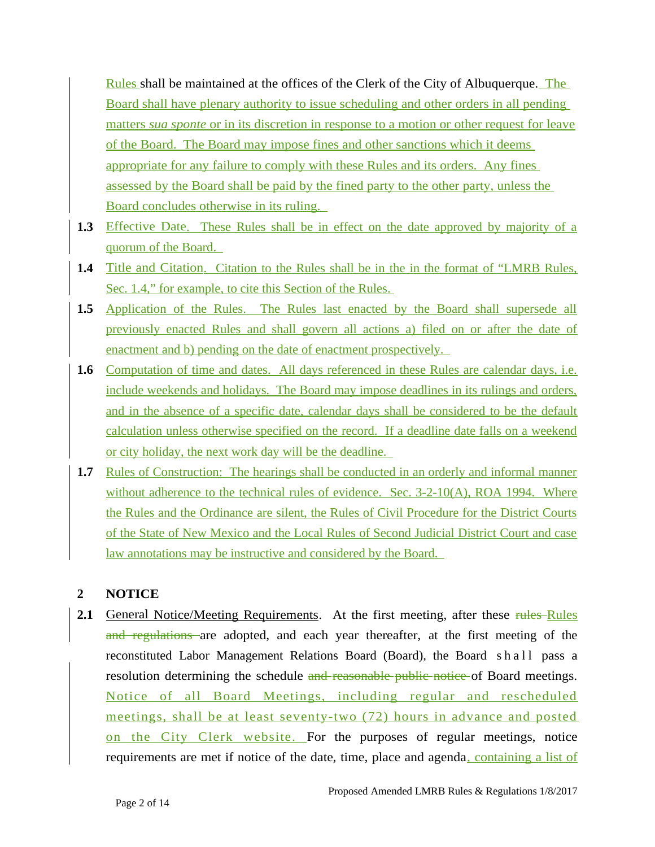Rules shall be maintained at the offices of the Clerk of the City of Albuquerque. The Board shall have plenary authority to issue scheduling and other orders in all pending matters *sua sponte* or in its discretion in response to a motion or other request for leave of the Board. The Board may impose fines and other sanctions which it deems appropriate for any failure to comply with these Rules and its orders. Any fines assessed by the Board shall be paid by the fined party to the other party, unless the Board concludes otherwise in its ruling.

- **1.3** Effective Date. These Rules shall be in effect on the date approved by majority of a quorum of the Board.
- **1.4** Title and Citation. Citation to the Rules shall be in the in the format of "LMRB Rules, Sec. 1.4," for example, to cite this Section of the Rules.
- 1.5 Application of the Rules. The Rules last enacted by the Board shall supersede all previously enacted Rules and shall govern all actions a) filed on or after the date of enactment and b) pending on the date of enactment prospectively.
- 1.6 Computation of time and dates. All days referenced in these Rules are calendar days, i.e. include weekends and holidays. The Board may impose deadlines in its rulings and orders, and in the absence of a specific date, calendar days shall be considered to be the default calculation unless otherwise specified on the record. If a deadline date falls on a weekend or city holiday, the next work day will be the deadline.
- **1.7** Rules of Construction: The hearings shall be conducted in an orderly and informal manner without adherence to the technical rules of evidence. Sec. 3-2-10(A), ROA 1994. Where the Rules and the Ordinance are silent, the Rules of Civil Procedure for the District Courts of the State of New Mexico and the Local Rules of Second Judicial District Court and case law annotations may be instructive and considered by the Board.

## **2 NOTICE**

2.1 General Notice/Meeting Requirements. At the first meeting, after these rules Rules and regulations are adopted, and each year thereafter, at the first meeting of the reconstituted Labor Management Relations Board (Board), the Board shall pass a resolution determining the schedule and reasonable public notice of Board meetings. Notice of all Board Meetings, including regular and rescheduled meetings, shall be at least seventy-two (72) hours in advance and posted on the City Clerk website. For the purposes of regular meetings, notice requirements are met if notice of the date, time, place and agenda, containing a list of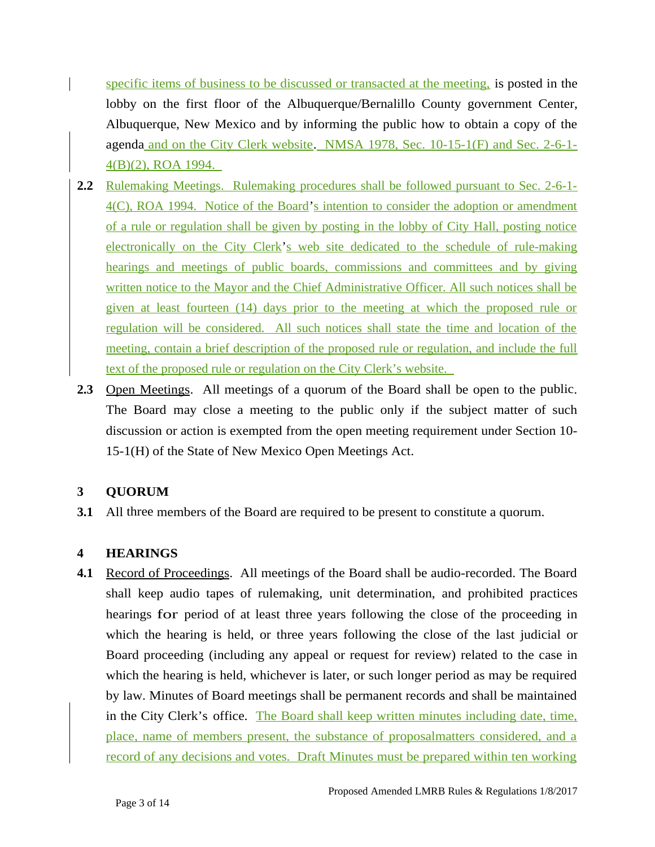- specific items of business to be discussed or transacted at the meeting, is posted in the lobby on the first floor of the Albuquerque/Bernalillo County government Center, Albuquerque, New Mexico and by informing the public how to obtain a copy of the agenda and on the City Clerk website. NMSA 1978, Sec. 10-15-1(F) and Sec. 2-6-1- 4(B)(2), ROA 1994.
- **2.2** Rulemaking Meetings. Rulemaking procedures shall be followed pursuant to Sec. 2-6-1-4(C), ROA 1994. Notice of the Board's intention to consider the adoption or amendment of a rule or regulation shall be given by posting in the lobby of City Hall, posting notice electronically on the City Clerk's web site dedicated to the schedule of rule-making hearings and meetings of public boards, commissions and committees and by giving written notice to the Mayor and the Chief Administrative Officer. All such notices shall be given at least fourteen (14) days prior to the meeting at which the proposed rule or regulation will be considered. All such notices shall state the time and location of the meeting, contain a brief description of the proposed rule or regulation, and include the full text of the proposed rule or regulation on the City Clerk's website.
- **2.3** Open Meetings. All meetings of a quorum of the Board shall be open to the public. The Board may close a meeting to the public only if the subject matter of such discussion or action is exempted from the open meeting requirement under Section 10- 15-1(H) of the State of New Mexico Open Meetings Act.

## **3 QUORUM**

**3.1** All three members of the Board are required to be present to constitute a quorum.

## **4 HEARINGS**

**4.1** Record of Proceedings. All meetings of the Board shall be audio-recorded. The Board shall keep audio tapes of rulemaking, unit determination, and prohibited practices hearings for period of at least three years following the close of the proceeding in which the hearing is held, or three years following the close of the last judicial or Board proceeding (including any appeal or request for review) related to the case in which the hearing is held, whichever is later, or such longer period as may be required by law. Minutes of Board meetings shall be permanent records and shall be maintained in the City Clerk's office. The Board shall keep written minutes including date, time, place, name of members present, the substance of proposalmatters considered, and a record of any decisions and votes. Draft Minutes must be prepared within ten working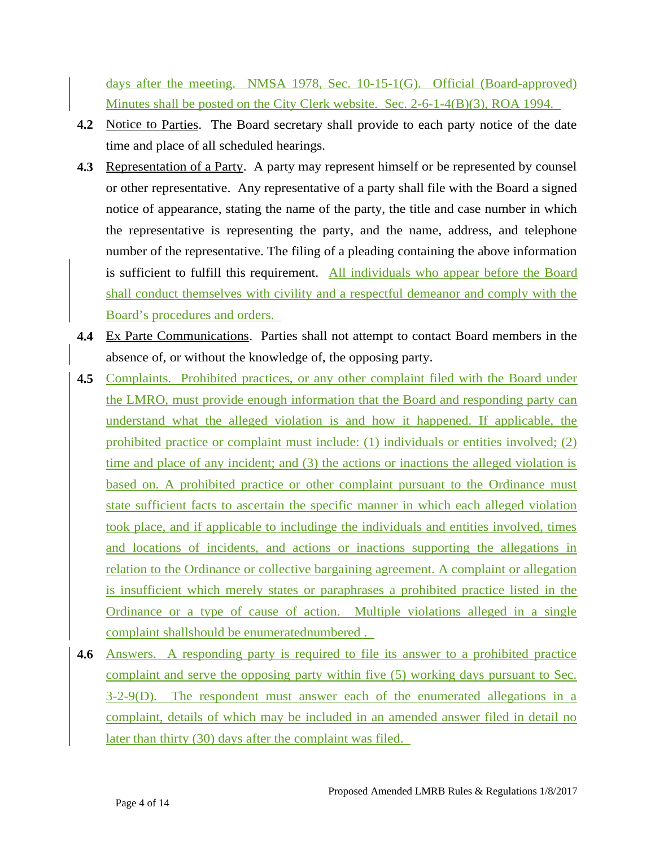days after the meeting. NMSA 1978, Sec. 10-15-1(G). Official (Board-approved) Minutes shall be posted on the City Clerk website. Sec. 2-6-1-4(B)(3), ROA 1994.

- **4.2** Notice to Parties. The Board secretary shall provide to each party notice of the date time and place of all scheduled hearings.
- **4.3** Representation of a Party. A party may represent himself or be represented by counsel or other representative. Any representative of a party shall file with the Board a signed notice of appearance, stating the name of the party, the title and case number in which the representative is representing the party, and the name, address, and telephone number of the representative. The filing of a pleading containing the above information is sufficient to fulfill this requirement. All individuals who appear before the Board shall conduct themselves with civility and a respectful demeanor and comply with the Board's procedures and orders.
- **4.4** Ex Parte Communications. Parties shall not attempt to contact Board members in the absence of, or without the knowledge of, the opposing party.
- **4.5** Complaints. Prohibited practices, or any other complaint filed with the Board under the LMRO, must provide enough information that the Board and responding party can understand what the alleged violation is and how it happened. If applicable, the prohibited practice or complaint must include: (1) individuals or entities involved; (2) time and place of any incident; and (3) the actions or inactions the alleged violation is based on. A prohibited practice or other complaint pursuant to the Ordinance must state sufficient facts to ascertain the specific manner in which each alleged violation took place, and if applicable to includinge the individuals and entities involved, times and locations of incidents, and actions or inactions supporting the allegations in relation to the Ordinance or collective bargaining agreement. A complaint or allegation is insufficient which merely states or paraphrases a prohibited practice listed in the Ordinance or a type of cause of action. Multiple violations alleged in a single complaint shallshould be enumeratednumbered .
- **4.6** Answers. A responding party is required to file its answer to a prohibited practice complaint and serve the opposing party within five (5) working days pursuant to Sec. 3-2-9(D). The respondent must answer each of the enumerated allegations in a complaint, details of which may be included in an amended answer filed in detail no later than thirty (30) days after the complaint was filed.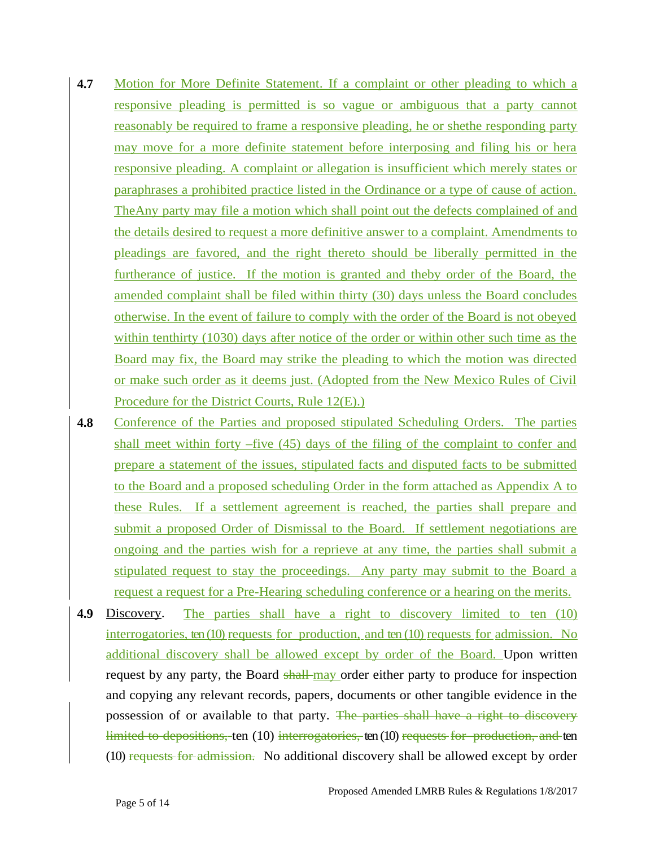- **4.7** Motion for More Definite Statement. If a complaint or other pleading to which a responsive pleading is permitted is so vague or ambiguous that a party cannot reasonably be required to frame a responsive pleading, he or shethe responding party may move for a more definite statement before interposing and filing his or hera responsive pleading. A complaint or allegation is insufficient which merely states or paraphrases a prohibited practice listed in the Ordinance or a type of cause of action. TheAny party may file a motion which shall point out the defects complained of and the details desired to request a more definitive answer to a complaint. Amendments to pleadings are favored, and the right thereto should be liberally permitted in the furtherance of justice. If the motion is granted and theby order of the Board, the amended complaint shall be filed within thirty (30) days unless the Board concludes otherwise. In the event of failure to comply with the order of the Board is not obeyed within tenthirty (1030) days after notice of the order or within other such time as the Board may fix, the Board may strike the pleading to which the motion was directed or make such order as it deems just. (Adopted from the New Mexico Rules of Civil Procedure for the District Courts, Rule 12(E).)
- **4.8** Conference of the Parties and proposed stipulated Scheduling Orders. The parties shall meet within forty –five (45) days of the filing of the complaint to confer and prepare a statement of the issues, stipulated facts and disputed facts to be submitted to the Board and a proposed scheduling Order in the form attached as Appendix A to these Rules. If a settlement agreement is reached, the parties shall prepare and submit a proposed Order of Dismissal to the Board. If settlement negotiations are ongoing and the parties wish for a reprieve at any time, the parties shall submit a stipulated request to stay the proceedings. Any party may submit to the Board a request a request for a Pre-Hearing scheduling conference or a hearing on the merits.
- **4.9** Discovery. The parties shall have a right to discovery limited to ten (10) interrogatories, ten (10) requests for production, and ten (10) requests for admission. No additional discovery shall be allowed except by order of the Board. Upon written request by any party, the Board shall may order either party to produce for inspection and copying any relevant records, papers, documents or other tangible evidence in the possession of or available to that party. The parties shall have a right to discovery limited to depositions, ten (10) interrogatories, ten (10) requests for production, and ten (10) requests for admission. No additional discovery shall be allowed except by order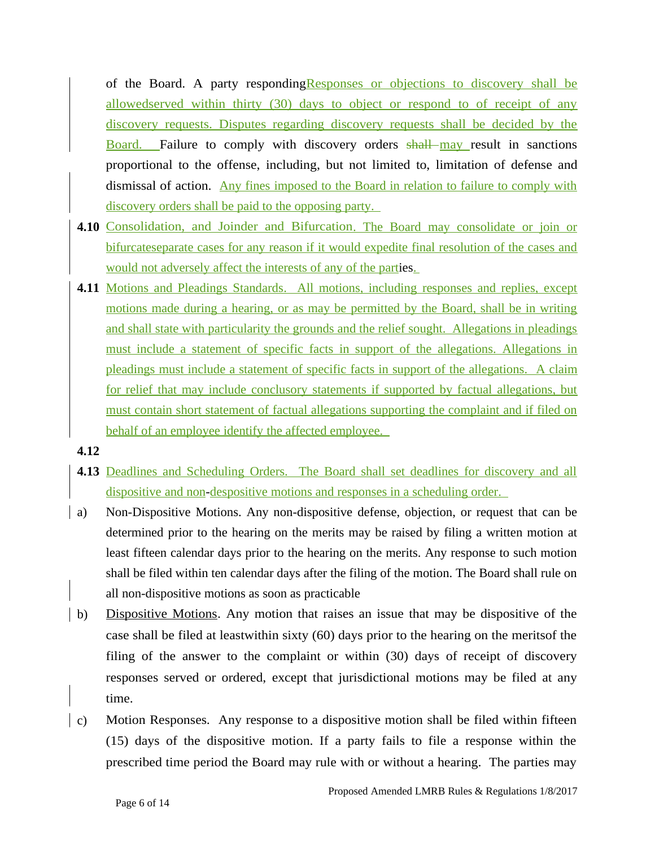of the Board. A party respondingResponses or objections to discovery shall be allowedserved within thirty (30) days to object or respond to of receipt of any discovery requests. Disputes regarding discovery requests shall be decided by the Board. Failure to comply with discovery orders shall may result in sanctions proportional to the offense, including, but not limited to, limitation of defense and dismissal of action. Any fines imposed to the Board in relation to failure to comply with discovery orders shall be paid to the opposing party.

- **4.10** Consolidation, and Joinder and Bifurcation. The Board may consolidate or join or bifurcateseparate cases for any reason if it would expedite final resolution of the cases and would not adversely affect the interests of any of the parties.
- **4.11** Motions and Pleadings Standards. All motions, including responses and replies, except motions made during a hearing, or as may be permitted by the Board, shall be in writing and shall state with particularity the grounds and the relief sought. Allegations in pleadings must include a statement of specific facts in support of the allegations. Allegations in pleadings must include a statement of specific facts in support of the allegations. A claim for relief that may include conclusory statements if supported by factual allegations, but must contain short statement of factual allegations supporting the complaint and if filed on behalf of an employee identify the affected employee.
- **4.12**
- **4.13** Deadlines and Scheduling Orders. The Board shall set deadlines for discovery and all dispositive and non-despositive motions and responses in a scheduling order.
- a) Non-Dispositive Motions. Any non-dispositive defense, objection, or request that can be determined prior to the hearing on the merits may be raised by filing a written motion at least fifteen calendar days prior to the hearing on the merits. Any response to such motion shall be filed within ten calendar days after the filing of the motion. The Board shall rule on all non-dispositive motions as soon as practicable
- b) Dispositive Motions. Any motion that raises an issue that may be dispositive of the case shall be filed at leastwithin sixty (60) days prior to the hearing on the meritsof the filing of the answer to the complaint or within (30) days of receipt of discovery responses served or ordered, except that jurisdictional motions may be filed at any time.
- c) Motion Responses. Any response to a dispositive motion shall be filed within fifteen (15) days of the dispositive motion. If a party fails to file a response within the prescribed time period the Board may rule with or without a hearing. The parties may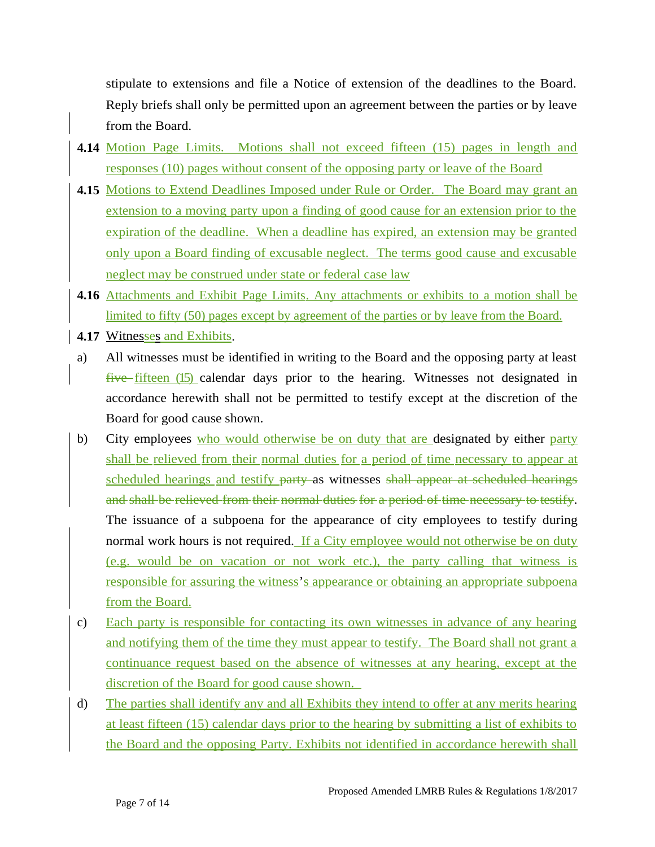stipulate to extensions and file a Notice of extension of the deadlines to the Board. Reply briefs shall only be permitted upon an agreement between the parties or by leave from the Board.

- **4.14** Motion Page Limits. Motions shall not exceed fifteen (15) pages in length and responses (10) pages without consent of the opposing party or leave of the Board
- **4.15** Motions to Extend Deadlines Imposed under Rule or Order. The Board may grant an extension to a moving party upon a finding of good cause for an extension prior to the expiration of the deadline. When a deadline has expired, an extension may be granted only upon a Board finding of excusable neglect. The terms good cause and excusable neglect may be construed under state or federal case law
- **4.16** Attachments and Exhibit Page Limits. Any attachments or exhibits to a motion shall be limited to fifty (50) pages except by agreement of the parties or by leave from the Board.
- **4.17 Witnesses and Exhibits.**
- a) All witnesses must be identified in writing to the Board and the opposing party at least five fifteen (15) calendar days prior to the hearing. Witnesses not designated in accordance herewith shall not be permitted to testify except at the discretion of the Board for good cause shown.
- b) City employees who would otherwise be on duty that are designated by either party shall be relieved from their normal duties for a period of time necessary to appear at scheduled hearings and testify party as witnesses shall appear at scheduled hearings and shall be relieved from their normal duties for a period of time necessary to testify. The issuance of a subpoena for the appearance of city employees to testify during normal work hours is not required. If a City employee would not otherwise be on duty (e.g. would be on vacation or not work etc.), the party calling that witness is responsible for assuring the witness's appearance or obtaining an appropriate subpoena from the Board.
- c) Each party is responsible for contacting its own witnesses in advance of any hearing and notifying them of the time they must appear to testify. The Board shall not grant a continuance request based on the absence of witnesses at any hearing, except at the discretion of the Board for good cause shown.
- d) The parties shall identify any and all Exhibits they intend to offer at any merits hearing at least fifteen (15) calendar days prior to the hearing by submitting a list of exhibits to the Board and the opposing Party. Exhibits not identified in accordance herewith shall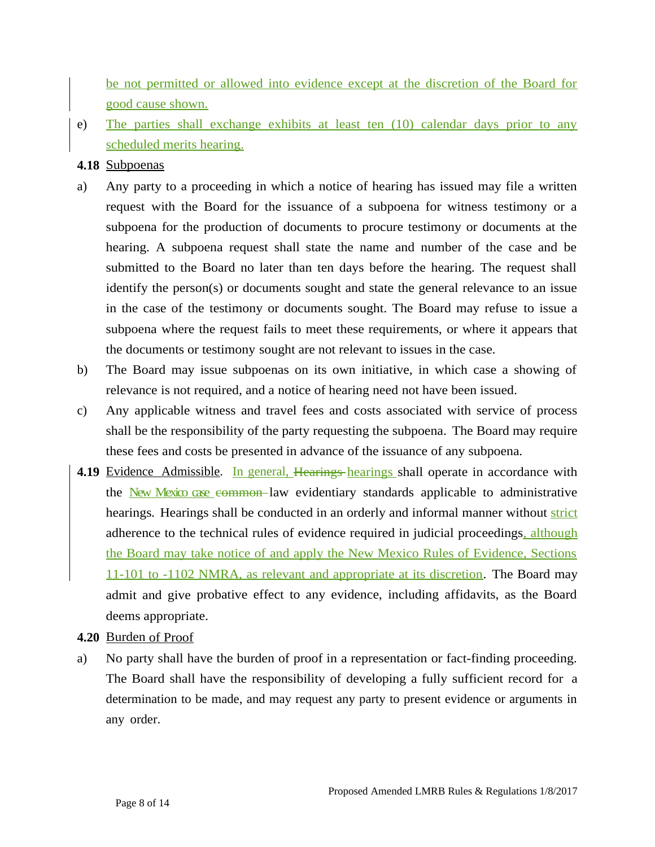be not permitted or allowed into evidence except at the discretion of the Board for good cause shown.

e) The parties shall exchange exhibits at least ten (10) calendar days prior to any scheduled merits hearing.

#### **4.18** Subpoenas

- a) Any party to a proceeding in which a notice of hearing has issued may file a written request with the Board for the issuance of a subpoena for witness testimony or a subpoena for the production of documents to procure testimony or documents at the hearing. A subpoena request shall state the name and number of the case and be submitted to the Board no later than ten days before the hearing. The request shall identify the person(s) or documents sought and state the general relevance to an issue in the case of the testimony or documents sought. The Board may refuse to issue a subpoena where the request fails to meet these requirements, or where it appears that the documents or testimony sought are not relevant to issues in the case.
- b) The Board may issue subpoenas on its own initiative, in which case a showing of relevance is not required, and a notice of hearing need not have been issued.
- c) Any applicable witness and travel fees and costs associated with service of process shall be the responsibility of the party requesting the subpoena. The Board may require these fees and costs be presented in advance of the issuance of any subpoena.
- **4.19** Evidence Admissible. In general, Hearings hearings shall operate in accordance with the New Mexico case common law evidentiary standards applicable to administrative hearings. Hearings shall be conducted in an orderly and informal manner without strict adherence to the technical rules of evidence required in judicial proceedings, although the Board may take notice of and apply the New Mexico Rules of Evidence, Sections 11-101 to -1102 NMRA, as relevant and appropriate at its discretion. The Board may admit and give probative effect to any evidence, including affidavits, as the Board deems appropriate.

#### **4.20** Burden of Proof

a) No party shall have the burden of proof in a representation or fact-finding proceeding. The Board shall have the responsibility of developing a fully sufficient record for a determination to be made, and may request any party to present evidence or arguments in any order.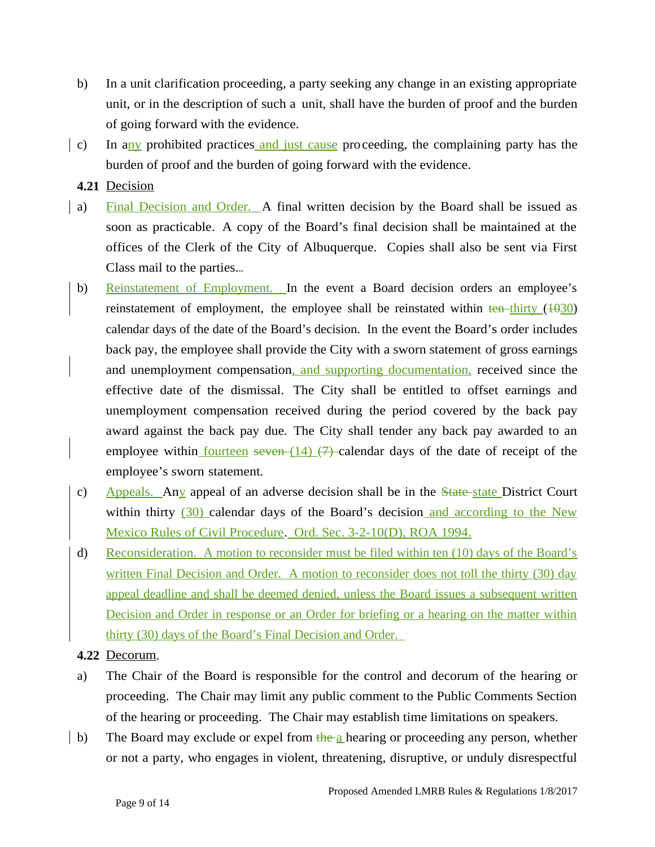- b) In a unit clarification proceeding, a party seeking any change in an existing appropriate unit, or in the description of such a unit, shall have the burden of proof and the burden of going forward with the evidence.
- c) In any prohibited practices and just cause proceeding, the complaining party has the burden of proof and the burden of going forward with the evidence.

**4.21** Decision

- a) Final Decision and Order. A final written decision by the Board shall be issued as soon as practicable. A copy of the Board's final decision shall be maintained at the offices of the Clerk of the City of Albuquerque. Copies shall also be sent via First Class mail to the parties...
- b) Reinstatement of Employment. In the event a Board decision orders an employee's reinstatement of employment, the employee shall be reinstated within  $\frac{\text{ten}-\text{thirty}}{\text{ten}-\text{thirty}}$  ( $\frac{1030}{100}$ ) calendar days of the date of the Board's decision. In the event the Board's order includes back pay, the employee shall provide the City with a sworn statement of gross earnings and unemployment compensation, and supporting documentation, received since the effective date of the dismissal. The City shall be entitled to offset earnings and unemployment compensation received during the period covered by the back pay award against the back pay due. The City shall tender any back pay awarded to an employee within fourteen seven  $(14)$   $(7)$  calendar days of the date of receipt of the employee's sworn statement.
- c) Appeals. Any appeal of an adverse decision shall be in the  $\frac{State-state}{Distance}$  District Court within thirty  $(30)$  calendar days of the Board's decision and according to the New Mexico Rules of Civil Procedure. Ord. Sec. 3-2-10(D), ROA 1994.
- d) Reconsideration. A motion to reconsider must be filed within ten (10) days of the Board's written Final Decision and Order. A motion to reconsider does not toll the thirty (30) day appeal deadline and shall be deemed denied, unless the Board issues a subsequent written Decision and Order in response or an Order for briefing or a hearing on the matter within thirty (30) days of the Board's Final Decision and Order.

**4.22** Decorum.

- a) The Chair of the Board is responsible for the control and decorum of the hearing or proceeding. The Chair may limit any public comment to the Public Comments Section of the hearing or proceeding. The Chair may establish time limitations on speakers.
- b) The Board may exclude or expel from the a hearing or proceeding any person, whether or not a party, who engages in violent, threatening, disruptive, or unduly disrespectful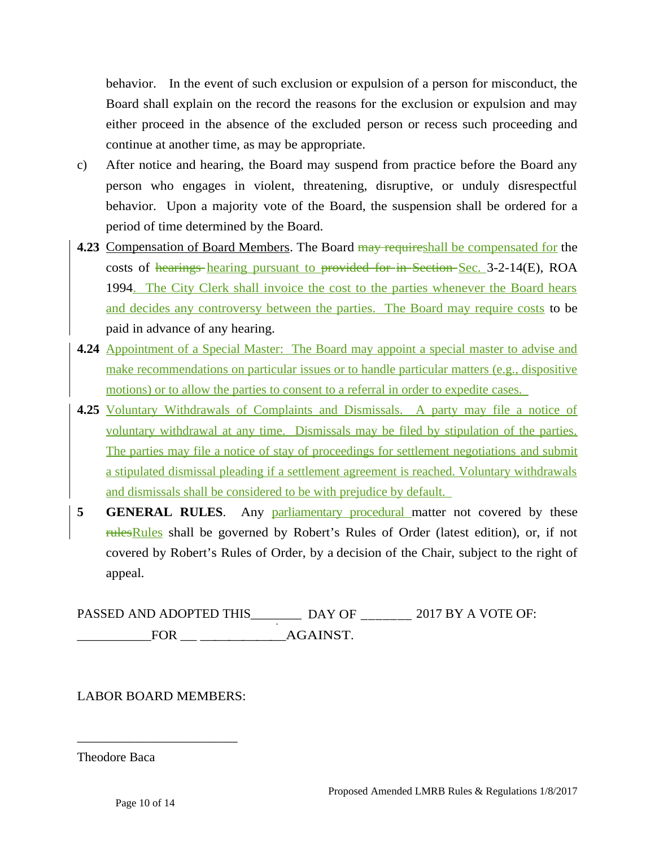behavior. In the event of such exclusion or expulsion of a person for misconduct, the Board shall explain on the record the reasons for the exclusion or expulsion and may either proceed in the absence of the excluded person or recess such proceeding and continue at another time, as may be appropriate.

- c) After notice and hearing, the Board may suspend from practice before the Board any person who engages in violent, threatening, disruptive, or unduly disrespectful behavior. Upon a majority vote of the Board, the suspension shall be ordered for a period of time determined by the Board.
- **4.23** Compensation of Board Members. The Board may requireshall be compensated for the costs of hearings hearing pursuant to provided for in Section Sec. 3-2-14(E), ROA 1994. The City Clerk shall invoice the cost to the parties whenever the Board hears and decides any controversy between the parties. The Board may require costs to be paid in advance of any hearing.
- **4.24** Appointment of a Special Master: The Board may appoint a special master to advise and make recommendations on particular issues or to handle particular matters (e.g., dispositive motions) or to allow the parties to consent to a referral in order to expedite cases.
- **4.25** Voluntary Withdrawals of Complaints and Dismissals. A party may file a notice of voluntary withdrawal at any time. Dismissals may be filed by stipulation of the parties. The parties may file a notice of stay of proceedings for settlement negotiations and submit a stipulated dismissal pleading if a settlement agreement is reached. Voluntary withdrawals and dismissals shall be considered to be with prejudice by default.
- **5 GENERAL RULES**. Any parliamentary procedural matter not covered by these rules Rules shall be governed by Robert's Rules of Order (latest edition), or, if not covered by Robert's Rules of Order, by a decision of the Chair, subject to the right of appeal.

PASSED AND ADOPTED THIS\_\_\_\_\_\_\_\_ DAY OF \_\_\_\_\_\_\_ 2017 BY A VOTE OF: \_\_\_\_\_\_\_\_\_\_\_FOR \_ \_\_\_\_\_\_AGAINST.

#### LABOR BOARD MEMBERS:

\_\_\_\_\_\_\_\_\_\_\_\_\_\_\_\_\_\_\_\_\_\_\_\_\_

Theodore Baca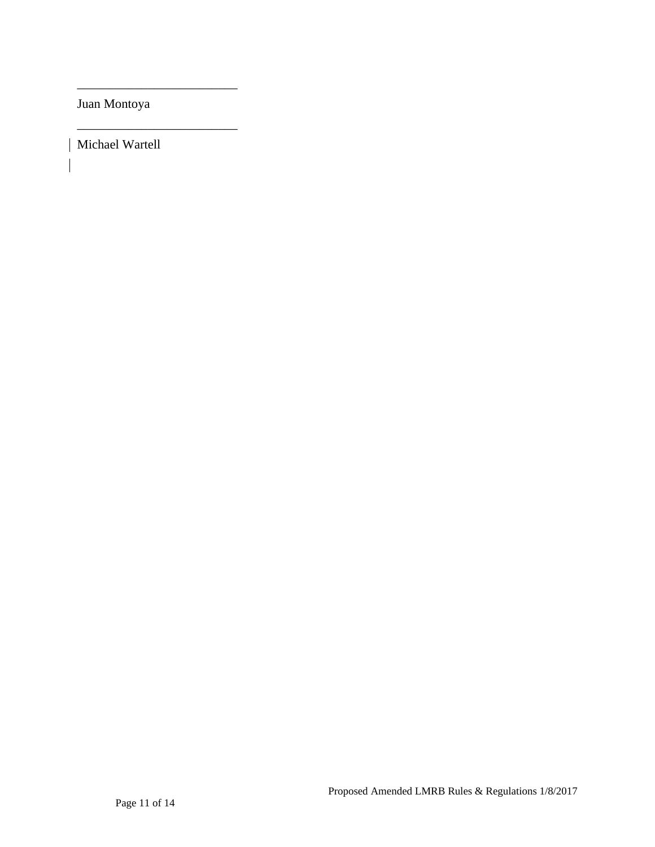Juan Montoya

\_\_\_\_\_\_\_\_\_\_\_\_\_\_\_\_\_\_\_\_\_\_\_\_\_

\_\_\_\_\_\_\_\_\_\_\_\_\_\_\_\_\_\_\_\_\_\_\_\_\_

Michael Wartell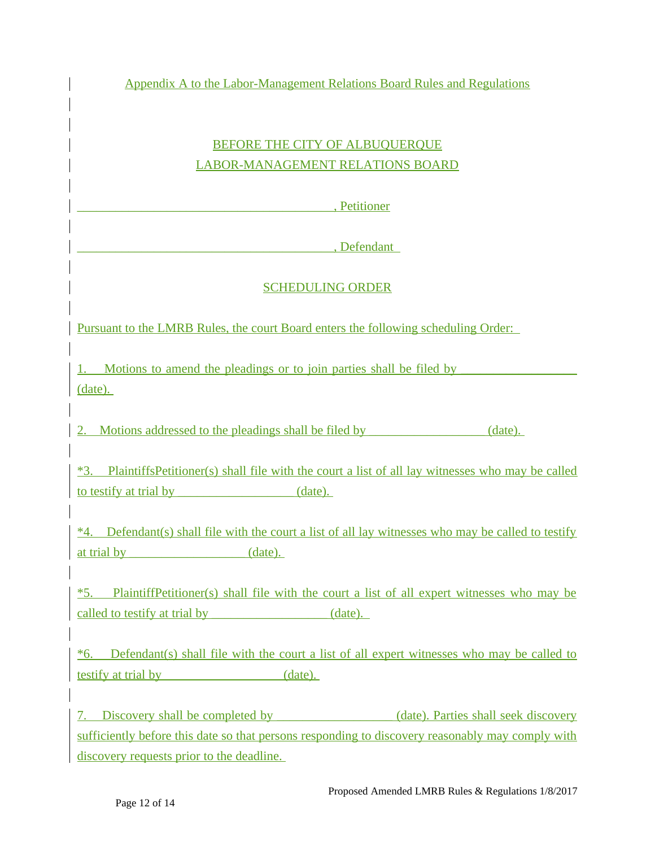Appendix A to the Labor-Management Relations Board Rules and Regulations

## BEFORE THE CITY OF ALBUQUERQUE LABOR-MANAGEMENT RELATIONS BOARD

\_\_\_\_\_\_\_\_\_\_\_\_\_\_\_\_\_\_\_\_\_\_\_\_\_\_\_\_\_\_\_\_\_\_\_\_\_\_\_\_, Petitioner

\_\_\_\_\_\_\_\_\_\_\_\_\_\_\_\_\_\_\_\_\_\_\_\_\_\_\_\_\_\_\_\_\_\_\_\_\_\_\_\_, Defendant

## SCHEDULING ORDER

Pursuant to the LMRB Rules, the court Board enters the following scheduling Order:

1. Motions to amend the pleadings or to join parties shall be filed by (date).

2. Motions addressed to the pleadings shall be filed by  $(date)$ .

\*3. PlaintiffsPetitioner(s) shall file with the court a list of all lay witnesses who may be called to testify at trial by  $\qquad \qquad$  (date).

\*4. Defendant(s) shall file with the court a list of all lay witnesses who may be called to testify at trial by  $(date)$ .

\*5. PlaintiffPetitioner(s) shall file with the court a list of all expert witnesses who may be called to testify at trial by  $\qquad \qquad$  (date).

 $*6$ . Defendant(s) shall file with the court a list of all expert witnesses who may be called to testify at trial by  $(date)$ .

7. Discovery shall be completed by  $(date)$ . Parties shall seek discovery sufficiently before this date so that persons responding to discovery reasonably may comply with discovery requests prior to the deadline.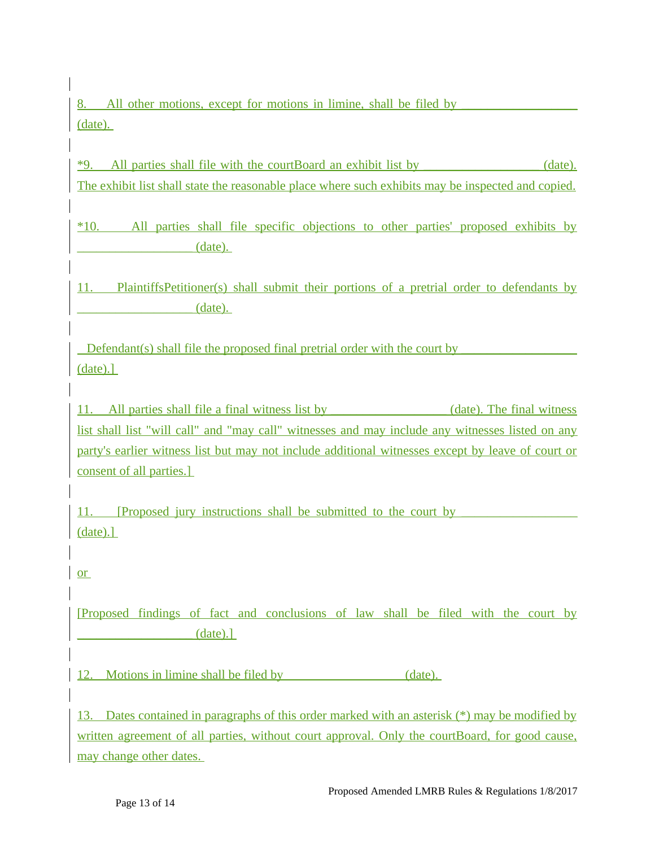8. All other motions, except for motions in limine, shall be filed by (date).

\*9. All parties shall file with the courtBoard an exhibit list by \_\_\_\_\_\_\_\_\_\_\_\_\_\_\_\_\_\_ (date). The exhibit list shall state the reasonable place where such exhibits may be inspected and copied.

\*10. All parties shall file specific objections to other parties' proposed exhibits by  $_1$  (date).

11. PlaintiffsPetitioner(s) shall submit their portions of a pretrial order to defendants by  $(date)$ .

Defendant(s) shall file the proposed final pretrial order with the court by (date).]

11. All parties shall file a final witness list by **the contract of the final witness** list shall list "will call" and "may call" witnesses and may include any witnesses listed on any party's earlier witness list but may not include additional witnesses except by leave of court or consent of all parties.]

11. [Proposed jury instructions shall be submitted to the court by (date).]

[Proposed findings of fact and conclusions of law shall be filed with the court by  $(data).$ ]

12. Motions in limine shall be filed by  $(date).$ 

13. Dates contained in paragraphs of this order marked with an asterisk (\*) may be modified by written agreement of all parties, without court approval. Only the courtBoard, for good cause, may change other dates.

or